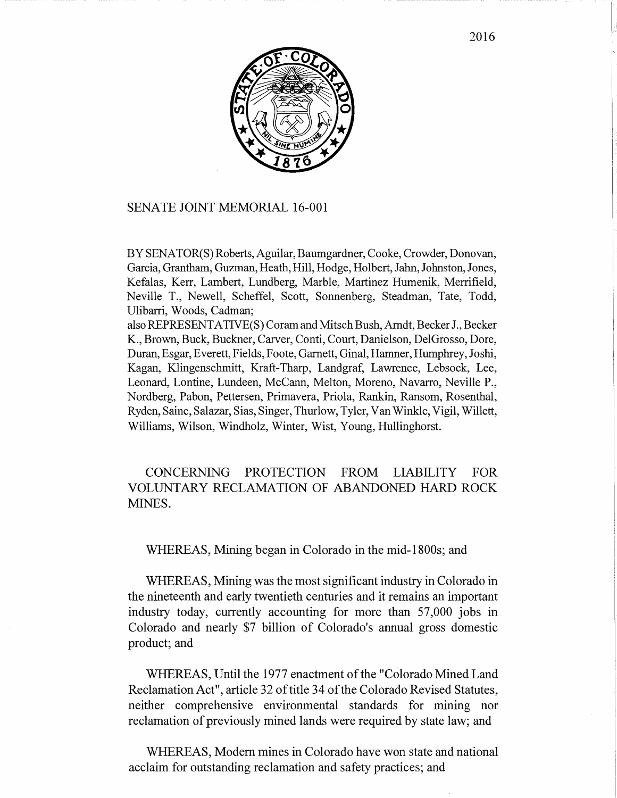

## SENATE JOINT MEMORIAL 16-001

BY SENATOR(S) Roberts, Aguilar, Baumgardner, Cooke, Crowder, Donovan, Garcia, Grantham, Guzman, Heath, Hill, Hodge, Holbert, Jahn, Johnston, Jones, Kefalas, Kerr, Lambert, Lundberg, Marble, Martinez Humenik, Merrifield, Neville T., Newell, Scheffel, Scott, Sonnenberg, Steadman, Tate, Todd, Ulibarri, Woods, Cadman;

also REPRESENT ATIVE(S) Coram and Mitsch Bush, Arndt, Becker J., Becker K., Brown, Buck, Buckner, Carver, Conti, Court, Danielson, DelGrosso, Dore, Duran, Esgar, Everett, Fields, Foote, Garnett, Ginal, Hamner, Humphrey, Joshi, Kagan, Klingenschmitt, Kraft-Tharp, Landgraf, Lawrence, Lebsock, Lee, Leonard, Lontine, Lundeen, McCann, Melton, Moreno, Navarro, Neville P., Nordberg, Pabon, Pettersen, Primavera, Priola, Rankin, Ransom, Rosenthal, Ryden, Saine, Salazar, Sias, Singer, Thurlow, Tyler, Van Winkle, Vigil, Willett, Williams, Wilson, Windholz, Winter, Wist, Young, Hullinghorst.

CONCERNING PROTECTION FROM LIABILITY FOR VOLUNTARY RECLAMATION OF ABANDONED HARD ROCK MINES.

## WHEREAS, Mining began in Colorado in the mid-1800s; and

WHEREAS, Mining was the most significant industry in Colorado in the nineteenth and early twentieth centuries and it remains an important industry today, currently accounting for more than 57,000 jobs in Colorado and nearly \$7 billion of Colorado's annual gross domestic product; and

WHEREAS, Until the 1977 enactment of the "Colorado Mined Land Reclamation Act", article 32 of title 34 of the Colorado Revised Statutes, neither comprehensive environmental standards for mining nor reclamation of previously mined lands were required by state law; and

WHEREAS, Modem mines in Colorado have won state and national acclaim for outstanding reclamation and safety practices; and

2016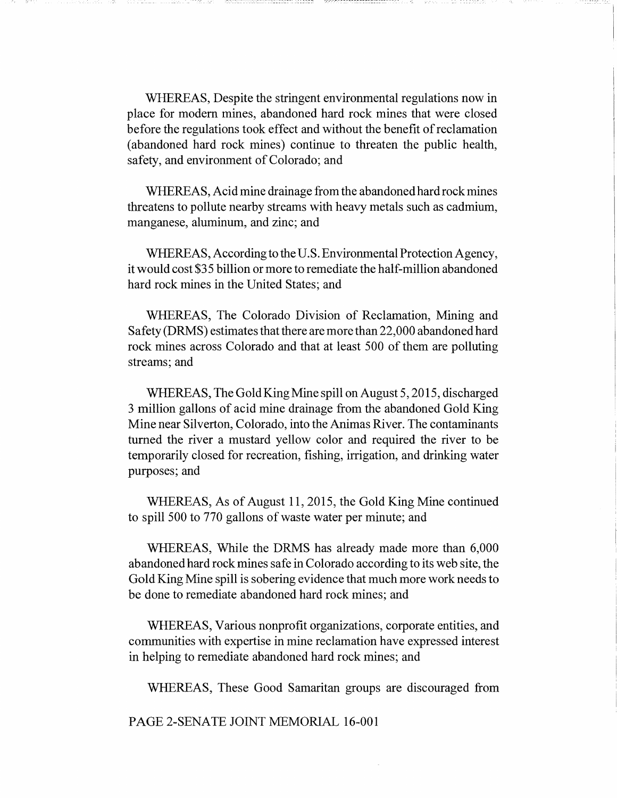WHEREAS, Despite the stringent environmental regulations now in place for modem mines, abandoned hard rock mines that were closed before the regulations took effect and without the benefit of reclamation (abandoned hard rock mines) continue to threaten the public health, safety, and environment of Colorado; and

WHEREAS, Acid mine drainage from the abandoned hard rock mines threatens to pollute nearby streams with heavy metals such as cadmium, manganese, aluminum, and zinc; and

WHEREAS, According to the U.S. Environmental Protection Agency, it would cost \$35 billion or more to remediate the half-million abandoned hard rock mines in the United States; and

WHEREAS, The Colorado Division of Reclamation, Mining and Safety (DRMS) estimates that there are more than 22,000 abandoned hard rock mines across Colorado and that at least 500 of them are polluting streams; and

WHEREAS, The Gold King Mine spill on August 5, 2015, discharged 3 million gallons of acid mine drainage from the abandoned Gold King Mine near Silverton, Colorado, into the Animas River. The contaminants turned the river a mustard yellow color and required the river to be temporarily closed for recreation, fishing, irrigation, and drinking water purposes; and

WHEREAS, As of August 11,2015, the Gold King Mine continued to spill 500 to 770 gallons of waste water per minute; and

WHEREAS, While the DRMS has already made more than 6,000 abandoned hard rock mines safe in Colorado according to its web site, the Gold King Mine spill is sobering evidence that much more work needs to be done to remediate abandoned hard rock mines; and

WHEREAS, Various nonprofit organizations, corporate entities, and communities with expertise in mine reclamation have expressed interest in helping to remediate abandoned hard rock mines; and

WHEREAS, These Good Samaritan groups are discouraged from

PAGE 2-SENATE JOINT MEMORIAL 16-001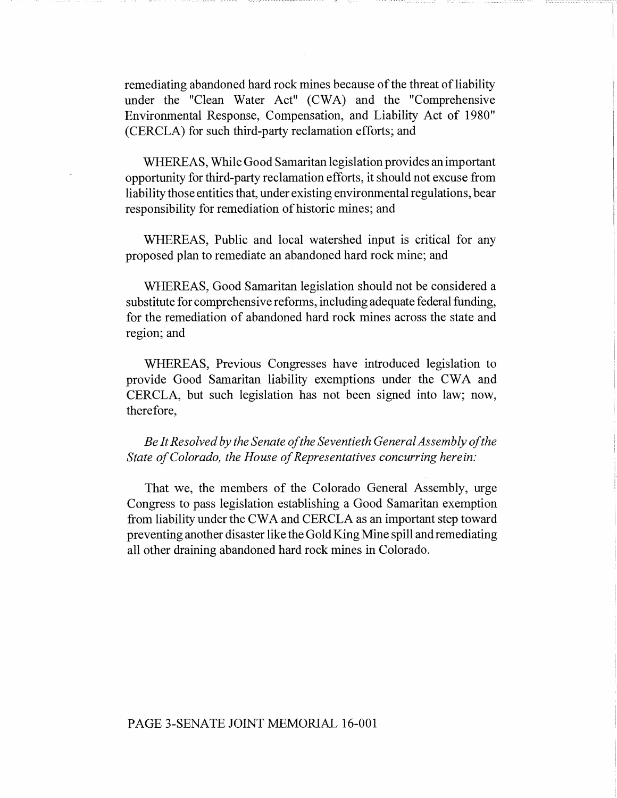remediating abandoned hard rock mines because of the threat of liability under the "Clean Water Act" (CWA) and the "Comprehensive Environmental Response, Compensation, and Liability Act of 1980" (CERCLA) for such third-party reclamation efforts; and

WHEREAS, While Good Samaritan legislation provides an important opportunity for third-party reclamation efforts, it should not excuse from liability those entities that, under existing environmental regulations, bear responsibility for remediation of historic mines; and

WHEREAS, Public and local watershed input is critical for any proposed plan to remediate an abandoned hard rock mine; and

WHEREAS, Good Samaritan legislation should not be considered a substitute for comprehensive reforms, including adequate federal funding, for the remediation of abandoned hard rock mines across the state and region; and

WHEREAS, Previous Congresses have introduced legislation to provide Good Samaritan liability exemptions under the CWA and CERCLA, but such legislation has not been signed into law; now, therefore,

*Be It Resolved by the Senate of the Seventieth General Assembly of the State of Colorado, the House of Representatives concurring herein:* 

That we, the members of the Colorado General Assembly, urge Congress to pass legislation establishing a Good Samaritan exemption from liability under the CW A and CERCLA as an important step toward preventing another disaster like the Gold King Mine spill and remediating all other draining abandoned hard rock mines in Colorado.